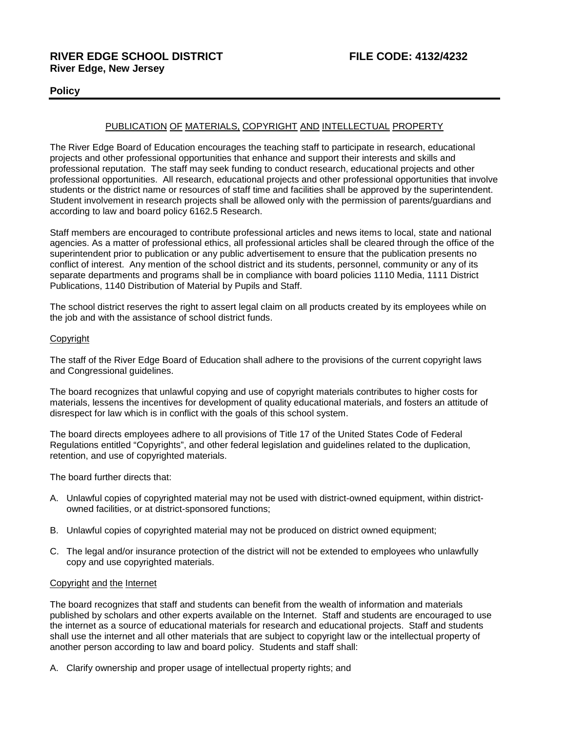# **Policy**

# PUBLICATION OF MATERIALS, COPYRIGHT AND INTELLECTUAL PROPERTY

The River Edge Board of Education encourages the teaching staff to participate in research, educational projects and other professional opportunities that enhance and support their interests and skills and professional reputation. The staff may seek funding to conduct research, educational projects and other professional opportunities. All research, educational projects and other professional opportunities that involve students or the district name or resources of staff time and facilities shall be approved by the superintendent. Student involvement in research projects shall be allowed only with the permission of parents/guardians and according to law and board policy 6162.5 Research.

Staff members are encouraged to contribute professional articles and news items to local, state and national agencies. As a matter of professional ethics, all professional articles shall be cleared through the office of the superintendent prior to publication or any public advertisement to ensure that the publication presents no conflict of interest. Any mention of the school district and its students, personnel, community or any of its separate departments and programs shall be in compliance with board policies 1110 Media, 1111 District Publications, 1140 Distribution of Material by Pupils and Staff.

The school district reserves the right to assert legal claim on all products created by its employees while on the job and with the assistance of school district funds.

### Copyright

The staff of the River Edge Board of Education shall adhere to the provisions of the current copyright laws and Congressional guidelines.

The board recognizes that unlawful copying and use of copyright materials contributes to higher costs for materials, lessens the incentives for development of quality educational materials, and fosters an attitude of disrespect for law which is in conflict with the goals of this school system.

The board directs employees adhere to all provisions of Title 17 of the United States Code of Federal Regulations entitled "Copyrights", and other federal legislation and guidelines related to the duplication, retention, and use of copyrighted materials.

The board further directs that:

- A. Unlawful copies of copyrighted material may not be used with district-owned equipment, within districtowned facilities, or at district-sponsored functions;
- B. Unlawful copies of copyrighted material may not be produced on district owned equipment;
- C. The legal and/or insurance protection of the district will not be extended to employees who unlawfully copy and use copyrighted materials.

### Copyright and the Internet

The board recognizes that staff and students can benefit from the wealth of information and materials published by scholars and other experts available on the Internet. Staff and students are encouraged to use the internet as a source of educational materials for research and educational projects. Staff and students shall use the internet and all other materials that are subject to copyright law or the intellectual property of another person according to law and board policy. Students and staff shall:

A. Clarify ownership and proper usage of intellectual property rights; and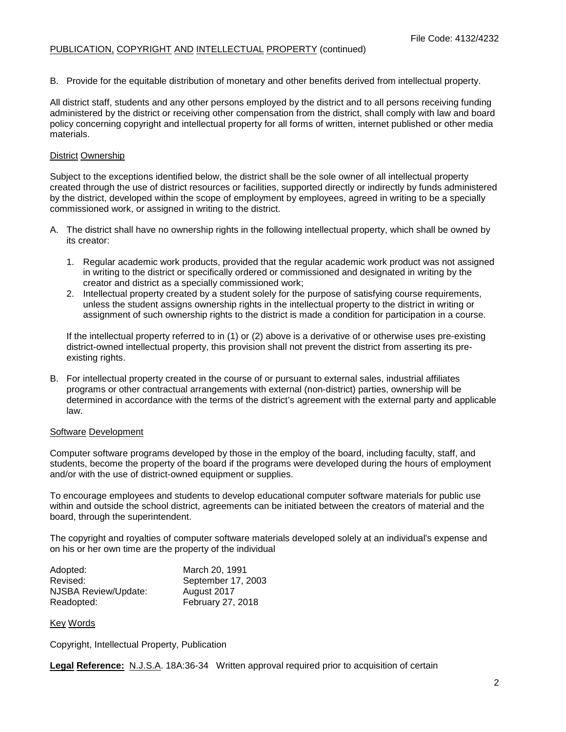B. Provide for the equitable distribution of monetary and other benefits derived from intellectual property.

All district staff, students and any other persons employed by the district and to all persons receiving funding administered by the district or receiving other compensation from the district, shall comply with law and board policy concerning copyright and intellectual property for all forms of written, internet published or other media materials.

## District Ownership

Subject to the exceptions identified below, the district shall be the sole owner of all intellectual property created through the use of district resources or facilities, supported directly or indirectly by funds administered by the district, developed within the scope of employment by employees, agreed in writing to be a specially commissioned work, or assigned in writing to the district.

- A. The district shall have no ownership rights in the following intellectual property, which shall be owned by its creator:
	- 1. Regular academic work products, provided that the regular academic work product was not assigned in writing to the district or specifically ordered or commissioned and designated in writing by the creator and district as a specially commissioned work;
	- 2. Intellectual property created by a student solely for the purpose of satisfying course requirements, unless the student assigns ownership rights in the intellectual property to the district in writing or assignment of such ownership rights to the district is made a condition for participation in a course.

If the intellectual property referred to in (1) or (2) above is a derivative of or otherwise uses pre-existing district-owned intellectual property, this provision shall not prevent the district from asserting its preexisting rights.

B. For intellectual property created in the course of or pursuant to external sales, industrial affiliates programs or other contractual arrangements with external (non-district) parties, ownership will be determined in accordance with the terms of the district's agreement with the external party and applicable law.

### Software Development

Computer software programs developed by those in the employ of the board, including faculty, staff, and students, become the property of the board if the programs were developed during the hours of employment and/or with the use of district-owned equipment or supplies.

To encourage employees and students to develop educational computer software materials for public use within and outside the school district, agreements can be initiated between the creators of material and the board, through the superintendent.

The copyright and royalties of computer software materials developed solely at an individual's expense and on his or her own time are the property of the individual

| Adopted:             | March 20, 1991     |
|----------------------|--------------------|
| Revised:             | September 17, 2003 |
| NJSBA Review/Update: | August 2017        |
| Readopted:           | February 27, 2018  |

Key Words

Copyright, Intellectual Property, Publication

**Legal Reference:** N.J.S.A. 18A:36-34 Written approval required prior to acquisition of certain